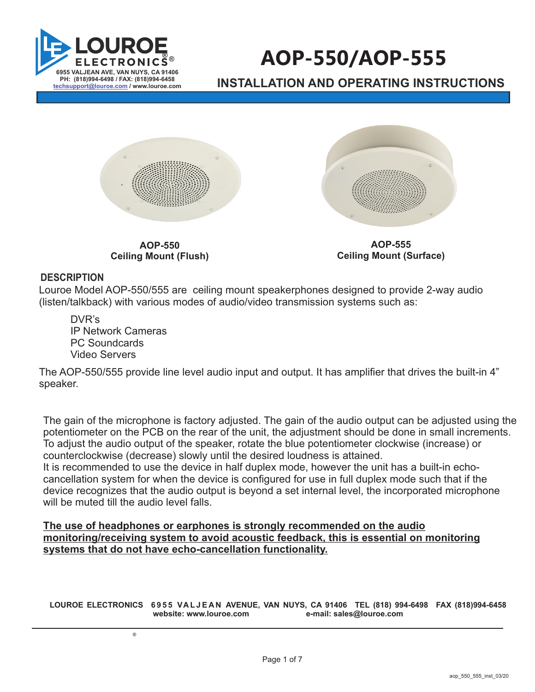

# **AOP-550/AOP-555**

**INSTALLATION AND OPERATING INSTRUCTIONS** 



**AOP-550 Ceiling Mount (Flush)**

**AOP-555 Ceiling Mount (Surface)**

#### **DESCRIPTION**

Louroe Model AOP-550/555 are ceiling mount speakerphones designed to provide 2-way audio (listen/talkback) with various modes of audio/video transmission systems such as:

DVR's IP Network Cameras PC Soundcards Video Servers

®

The AOP-550/555 provide line level audio input and output. It has amplifier that drives the built-in 4" speaker.

The gain of the microphone is factory adjusted. The gain of the audio output can be adjusted using the potentiometer on the PCB on the rear of the unit, the adjustment should be done in small increments. To adjust the audio output of the speaker, rotate the blue potentiometer clockwise (increase) or counterclockwise (decrease) slowly until the desired loudness is attained.

It is recommended to use the device in half duplex mode, however the unit has a built-in echocancellation system for when the device is configured for use in full duplex mode such that if the device recognizes that the audio output is beyond a set internal level, the incorporated microphone will be muted till the audio level falls.

**The use of headphones or earphones is strongly recommended on the audio monitoring/receiving system to avoid acoustic feedback, this is essential on monitoring systems that do not have echo-cancellation functionality.** 

**LOUROE ELECTRONICS 6 9 5 5 VA L J E A N AVENUE, VAN NUYS, CA 91406 TEL (818) 994-6498 FAX 994-6458 (818) website: www.louroe.com e-mail: sales@louroe.com**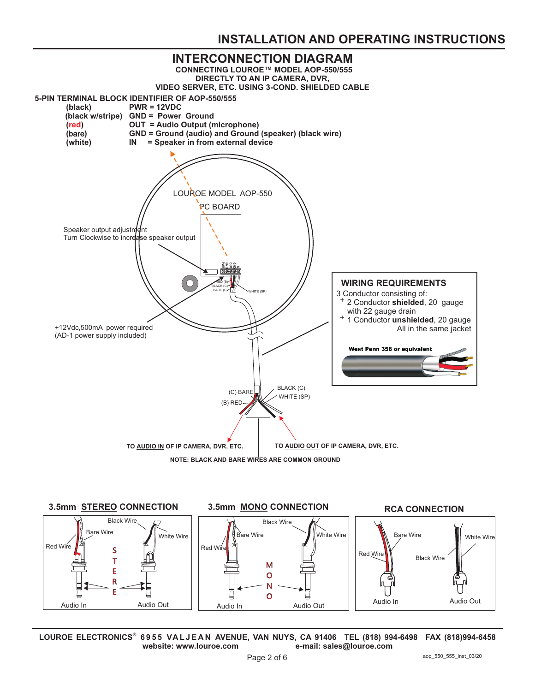## **INSTALLATION AND OPERATING INSTRUCTIONS**





**LOUROE ELECTRONICS 6 9 5 5 VA L J E A N AVENUE, VAN NUYS, CA 91406 TEL (818) 994-6498 FAX 994-6458 (818)** ® **website: www.louroe.com e-mail: sales@louroe.com**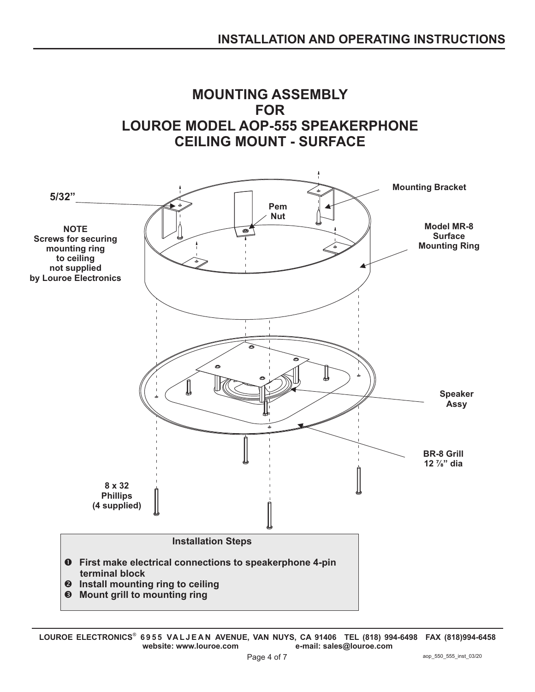

**LOUROE ELECTRONICS 6 9 5 5 VA L J E A N AVENUE, VAN NUYS, CA 91406 TEL (818) 994-6498 FAX 994-6458 (818)** ® **website: www.louroe.com e-mail: sales@louroe.com**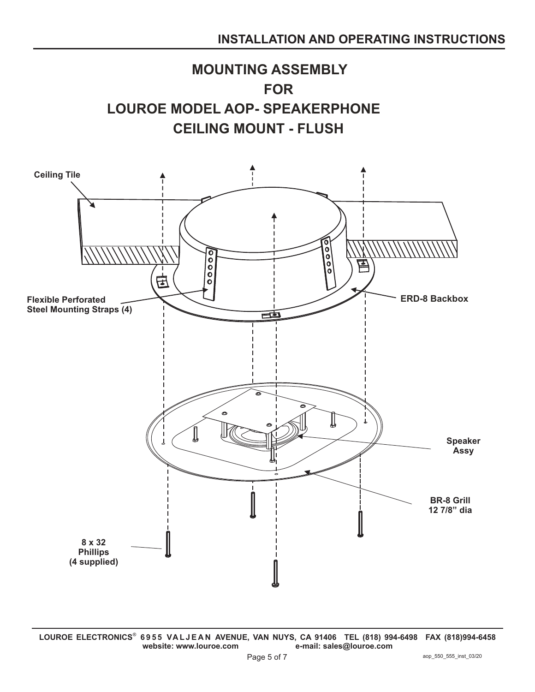



**LOUROE ELECTRONICS 6 9 5 5 VA L J E A N AVENUE, VAN NUYS, CA 91406 TEL (818) 994-6498 FAX 994-6458 (818)** ® **website: www.louroe.com e-mail: sales@louroe.com**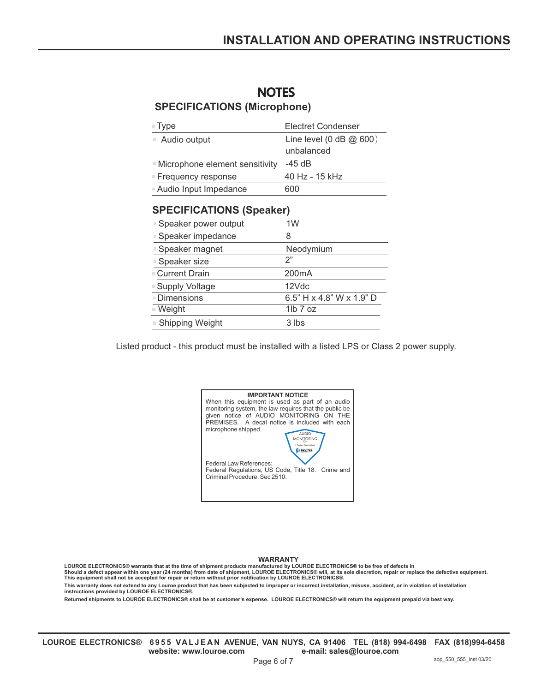# **NOTES**

### **SPECIFICATIONS (Microphone)**

| $\blacksquare$ Type              | Electret Condenser                      |
|----------------------------------|-----------------------------------------|
| $\blacksquare$ Audio output      | Line level (0 dB $@600$ )<br>unbalanced |
| ■ Microphone element sensitivity | -45 dB                                  |
| ■ Frequency response             | 40 Hz - 15 kHz                          |
| Audio Input Impedance            | 600                                     |

#### **SPECIFICATIONS (Speaker)**

| ■ Speaker power output | 1W                                      |
|------------------------|-----------------------------------------|
| ■ Speaker impedance    | 8                                       |
| ■ Speaker magnet       | Neodymium                               |
| ■ Speaker size         | 2"                                      |
| ■ Current Drain        | 200 <sub>m</sub> A                      |
| ■ Supply Voltage       | 12Vdc                                   |
| Dimensions             | 6.5" $H \times 4.8$ " W $\times$ 1.9" D |
| ≡ Weight               | $1lb$ $7$ $oz$                          |
| ■ Shipping Weight      | 3 lbs                                   |

Listed product - this product must be installed with a listed LPS or Class 2 power supply.

WARRANTY<br>LOUROE ELECTRONICS® warrants that at the time of shipment products manufactured by LOUROE ELECTRONICS® to be free of defects in<br>Should a defect appear within one year (24 months) from date of shipment, LOUROE ELEC

**This equipment shall not be accepted for repair or return without prior notification by LOUROE ELECTRONICS®.**

**This warranty does not extend to any Louroe product that has been subjected to improper or incorrect installation, misuse, accident, or in violation of installation instructions provided by LOUROE ELECTRONICS®.**

**Returned shipments to LOUROE ELECTRONICS® shall be at customer's expense. LOUROE ELECTRONICS® will return the equipment prepaid via best way.**

LOUROE ELECTRONICS® 6955 VALJEAN AVENUE, VAN NUYS, CA 91406 TEL (818) 994-6498 FAX (818)994-6458 **website: www.louroe.com e-mail: sales@louroe.com**